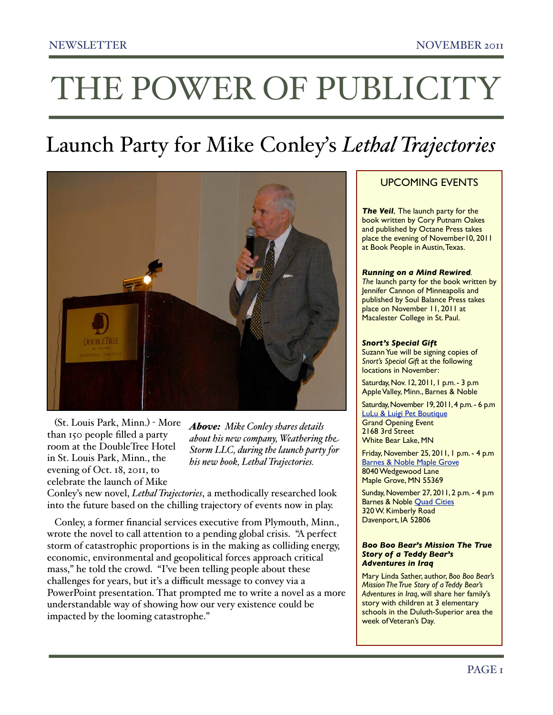## THE POWER OF PUBLICITY

### Launch Party for Mike Conley's *Lethal Trajectories*



 (St. Louis Park, Minn.) - More than 150 people filled a party room at the DoubleTree Hotel in St. Louis Park, Minn., the evening of Oct. 18, 2011, to celebrate the launch of Mike

*Above: Mike Conley shares details about his new company, Weathering the Storm LLC, during the launch party for his new book, Lethal Trajectories.*

Conley's new novel, *Lethal Trajectories*, a methodically researched look into the future based on the chilling trajectory of events now in play.

 Conley, a former financial services executive from Plymouth, Minn., wrote the novel to call attention to a pending global crisis. "A perfect storm of catastrophic proportions is in the making as colliding energy, economic, environmental and geopolitical forces approach critical mass," he told the crowd. "I've been telling people about these challenges for years, but it's a difficult message to convey via a PowerPoint presentation. That prompted me to write a novel as a more understandable way of showing how our very existence could be impacted by the looming catastrophe."

#### UPCOMING EVENTS

**The Veil, The launch party for the** book written by Cory Putnam Oakes and published by Octane Press takes place the evening of November10, 2011 at Book People in Austin, Texas.

#### *Running on a Mind Rewired.*

The launch party for the book written by Jennifer Cannon of Minneapolis and published by Soul Balance Press takes place on November 11, 2011 at Macalester College in St. Paul.

#### *Snort's Special Gift*

Suzann Yue will be signing copies of *Snort's Special Gift* at the following locations in November:

Saturday, Nov. 12, 2011, 1 p.m. - 3 p.m Apple Valley, Minn., Barnes & Noble

Saturday, November 19, 2011, 4 p.m. - 6 p.m. [LuLu & Luigi Pet Boutique](http://www.luluandluigi.com/) Grand Opening Event 2168 3rd Street White Bear Lake, MN

Friday, November 25, 2011, 1 p.m. - 4 p.m **[Barnes & Noble Maple Grove](http://store-locator.barnesandnoble.com/store/2749)** 8040 Wedgewood Lane Maple Grove, MN 55369

Sunday, November 27, 2011, 2 p.m. - 4 p.m Barnes & Noble [Quad Cities](http://store-locator.barnesandnoble.com/store/2970) 320 W. Kimberly Road Davenport, IA 52806

#### *Boo Boo Bear's Mission The True Story of a Teddy Bear's Adventures in Iraq*

Mary Linda Sather, author, *Boo Boo Bear's Mission The True Story of a Teddy Bear's Adventures in Iraq*, will share her family's story with children at 3 elementary schools in the Duluth-Superior area the week of Veteran's Day.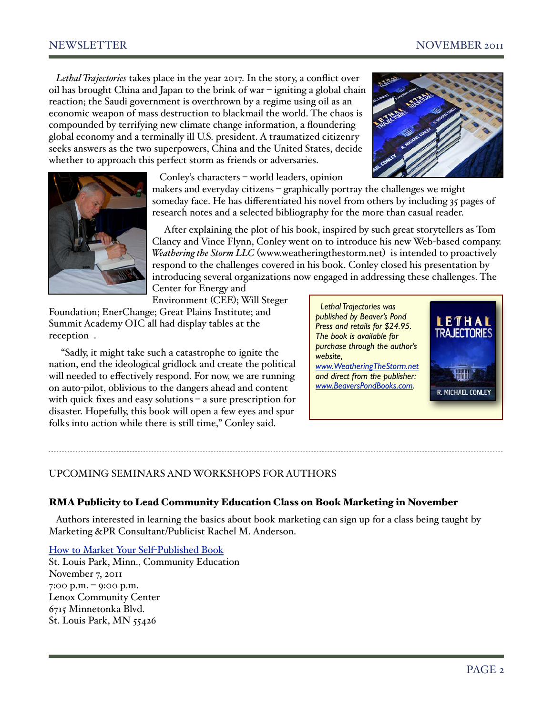*Lethal Trajectories* takes place in the year 2017. In the story, a conflict over oil has brought China and Japan to the brink of war – igniting a global chain reaction; the Saudi government is overthrown by a regime using oil as an economic weapon of mass destruction to blackmail the world. The chaos is compounded by terrifying new climate change information, a floundering global economy and a terminally ill U.S. president. A traumatized citizenry seeks answers as the two superpowers, China and the United States, decide whether to approach this perfect storm as friends or adversaries.





Conley's characters – world leaders, opinion

makers and everyday citizens – graphically portray the challenges we might someday face. He has differentiated his novel from others by including 35 pages of research notes and a selected bibliography for the more than casual reader.

 After explaining the plot of his book, inspired by such great storytellers as Tom Clancy and Vince Flynn, Conley went on to introduce his new Web-based company. *Weathering the Storm LLC* ([www.weatheringthestorm.net](http://www.weatheringthestorm.net)) is intended to proactively respond to the challenges covered in his book. Conley closed his presentation by introducing several organizations now engaged in addressing these challenges. The

Center for Energy and Environment (CEE); Will Steger

Foundation; EnerChange; Great Plains Institute; and Summit Academy OIC all had display tables at the reception .

 "Sadly, it might take such a catastrophe to ignite the nation, end the ideological gridlock and create the political will needed to effectively respond. For now, we are running on auto-pilot, oblivious to the dangers ahead and content with quick fixes and easy solutions – a sure prescription for disaster. Hopefully, this book will open a few eyes and spur folks into action while there is still time," Conley said.

 *Lethal Trajectories was published by Beaver's Pond Press and retails for \$24.95. The book is available for purchase through the author's website, [www.WeatheringTheStorm.net](http://www.WeatheringTheStorm.net) and direct from the publisher: [www.BeaversPondBooks.com](http://www.BeaversPondBooks.com)*.



#### UPCOMING SEMINARS AND WORKSHOPS FOR AUTHORS

#### RMA Publicity to Lead Community Education Class on Book Marketing in November

 Authors interested in learning the basics about book marketing can sign up for a class being taught by Marketing &PR Consultant/Publicist Rachel M. Anderson.

[How to Market Your Self](http://www.slpcommunityed.org/insight/registry/classinfo.asp?courseID=7897&catID=)-Published Book

St. Louis Park, Minn., Community Education November 7, 2011 7:00 p.m. – 9:00 p.m. Lenox Community Center 6715 Minnetonka Blvd. St. Louis Park, MN 55426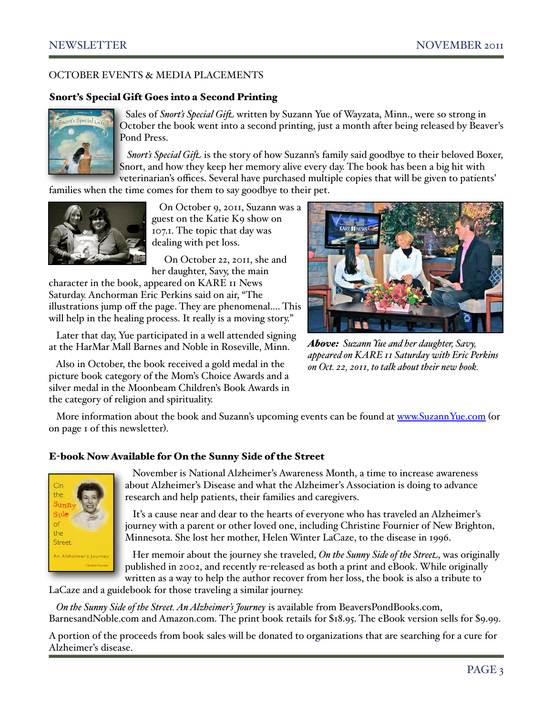#### OCTOBER EVENTS & MEDIA PLACEMENTS

#### Snort's Special Gift Goes into a Second Printing



Sales of *Snort's Special Gift*. written by Suzann Yue of Wayzata, Minn., were so strong in October the book went into a second printing, just a month after being released by Beaver's Pond Press.

Snort's Special Gift. is the story of how Suzann's family said goodbye to their beloved Boxer, Snort, and how they keep her memory alive every day. The book has been a big hit with veterinarian's offices. Several have purchased multiple copies that will be given to patients'

families when the time comes for them to say goodbye to their pet.



 On October 9, 2011, Suzann was a guest on the Katie K9 show on 107.1. The topic that day was dealing with pet loss.

 On October 22, 2011, she and her daughter, Savy, the main

character in the book, appeared on KARE 11 News Saturday. Anchorman Eric Perkins said on air, "The illustrations jump off the page. They are phenomenal…. This will help in the healing process. It really is a moving story."

 Later that day, Yue participated in a well attended signing at the HarMar Mall Barnes and Noble in Roseville, Minn.

 Also in October, the book received a gold medal in the picture book category of the Mom's Choice Awards and a silver medal in the Moonbeam Children's Book Awards in the category of religion and spirituality.



*Above: Suzann Yue and her daughter, Savy, appeared on KARE 11 Saturday with Eric Perkins on Oct. 22, 2011, to talk about their new book.*

More information about the book and Suzann's upcoming events can be found at [www.SuzannYue.com](http://www.SuzannYue.com) (or on page 1 of this newsletter).

#### E-book Now Available for On the Sunny Side of the Street



 November is National Alzheimer's Awareness Month, a time to increase awareness about Alzheimer's Disease and what the Alzheimer's Association is doing to advance research and help patients, their families and caregivers.

 It's a cause near and dear to the hearts of everyone who has traveled an Alzheimer's journey with a parent or other loved one, including Christine Fournier of New Brighton, Minnesota. She lost her mother, Helen Winter LaCaze, to the disease in 1996.

 Her memoir about the journey she traveled, *On the Sunny Side of the Street*, was originally published in 2002, and recently re-released as both a print and eBook. While originally written as a way to help the author recover from her loss, the book is also a tribute to

LaCaze and a guidebook for those traveling a similar journey.

 *On the Sunny Side of the Street. An Alzheimer's Journey* is available from BeaversPondBooks.com, BarnesandNoble.com and Amazon.com. The print book retails for \$18.95. The eBook version sells for \$9.99.

A portion of the proceeds from book sales will be donated to organizations that are searching for a cure for Alzheimer's disease.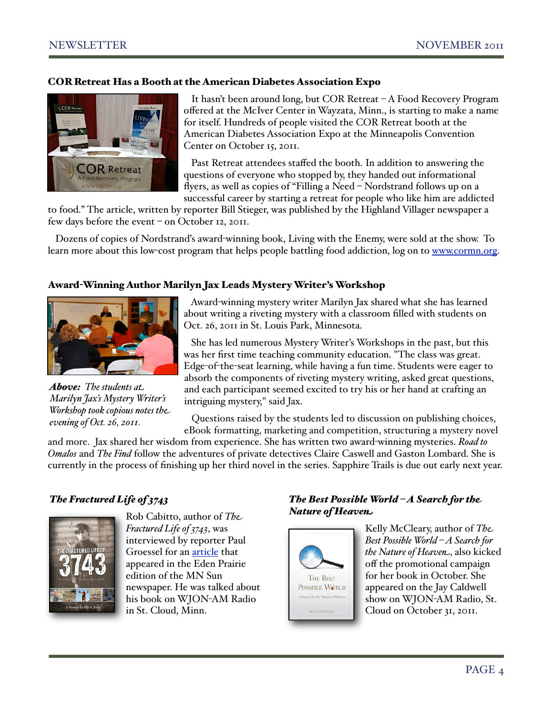#### COR Retreat Has a Booth at the American Diabetes Association Expo



 It hasn't been around long, but COR Retreat – A Food Recovery Program offered at the McIver Center in Wayzata, Minn., is starting to make a name for itself. Hundreds of people visited the COR Retreat booth at the American Diabetes Association Expo at the Minneapolis Convention Center on October 15, 2011.

 Past Retreat attendees staffed the booth. In addition to answering the questions of everyone who stopped by, they handed out informational flyers, as well as copies of "Filling a Need – Nordstrand follows up on a successful career by starting a retreat for people who like him are addicted

to food." The article, written by reporter Bill Stieger, was published by the Highland Villager newspaper a few days before the event – on October 12, 2011.

 Dozens of copies of Nordstrand's award-winning book, Living with the Enemy, were sold at the show. To learn more about this low-cost program that helps people battling food addiction, log on to [www.cormn.org.](http://www.cormn.org)

#### Award-Winning Author Marilyn Jax Leads Mystery Writer's Workshop



*Above: The students at Marilyn Jax's Mystery Writer's Workshop took copious notes the evening of Oct. 26, 2011.* 

 Award-winning mystery writer Marilyn Jax shared what she has learned about writing a riveting mystery with a classroom filled with students on Oct. 26, 2011 in St. Louis Park, Minnesota.

 She has led numerous Mystery Writer's Workshops in the past, but this was her first time teaching community education. "The class was great. Edge-of-the-seat learning, while having a fun time. Students were eager to absorb the components of riveting mystery writing, asked great questions, and each participant seemed excited to try his or her hand at crafting an intriguing mystery," said Jax.

 Questions raised by the students led to discussion on publishing choices, eBook formatting, marketing and competition, structuring a mystery novel

and more. Jax shared her wisdom from experience. She has written two award-winning mysteries. *Road to Omalos* and *The Find* follow the adventures of private detectives Claire Caswell and Gaston Lombard. She is currently in the process of finishing up her third novel in the series. Sapphire Trails is due out early next year.

#### *The Fractured Life of 3743*



Rob Cabitto, author of *The Fractured Life of 3743*, was interviewed by reporter Paul Groessel for an [article](http://mnsun.com/articles/2011/10/26/eden_prairie/news/ep27book.txt) that appeared in the Eden Prairie edition of the MN Sun newspaper. He was talked about his book on WJON-AM Radio in St. Cloud, Minn.

#### *The Best Possible World – A Search for the Nature of Heaven*



Kelly McCleary, author of *The Best Possible World – A Search for the Nature of Heaven*, also kicked off the promotional campaign for her book in October. She appeared on the Jay Caldwell show on WJON-AM Radio, St. Cloud on October 31, 2011.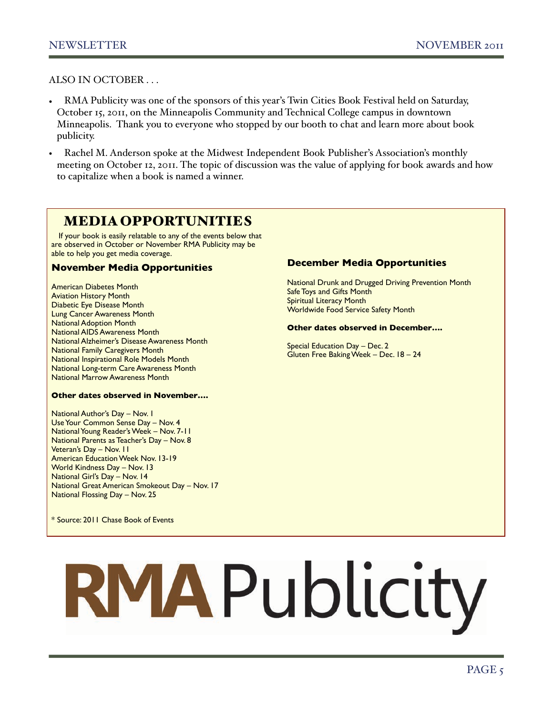ALSO IN OCTOBER . . .

- RMA Publicity was one of the sponsors of this year's Twin Cities Book Festival held on Saturday, October 15, 2011, on the Minneapolis Community and Technical College campus in downtown Minneapolis. Thank you to everyone who stopped by our booth to chat and learn more about book publicity.
- Rachel M. Anderson spoke at the Midwest Independent Book Publisher's Association's monthly meeting on October 12, 2011. The topic of discussion was the value of applying for book awards and how to capitalize when a book is named a winner.

#### MEDIA OPPORTUNITIES

If your book is easily relatable to any of the events below that are observed in October or November RMA Publicity may be able to help you get media coverage.

#### **November Media Opportunities**

American Diabetes Month Aviation History Month Diabetic Eye Disease Month Lung Cancer Awareness Month National Adoption Month National AIDS Awareness Month National Alzheimer's Disease Awareness Month National Family Caregivers Month National Inspirational Role Models Month National Long-term Care Awareness Month National Marrow Awareness Month

#### **Other dates observed in November….**

National Author's Day – Nov. 1 Use Your Common Sense Day – Nov. 4 National Young Reader's Week – Nov. 7-11 National Parents as Teacher's Day – Nov. 8 Veteran's Day – Nov. 11 American Education Week Nov. 13-19 World Kindness Day – Nov. 13 National Girl's Day – Nov. 14 National Great American Smokeout Day – Nov. 17 National Flossing Day – Nov. 25

\* Source: 2011 Chase Book of Events

#### **December Media Opportunities**

National Drunk and Drugged Driving Prevention Month Safe Toys and Gifts Month Spiritual Literacy Month Worldwide Food Service Safety Month

#### **Other dates observed in December….**

Special Education Day – Dec. 2 Gluten Free Baking Week – Dec. 18 – 24

# RMAPublicity